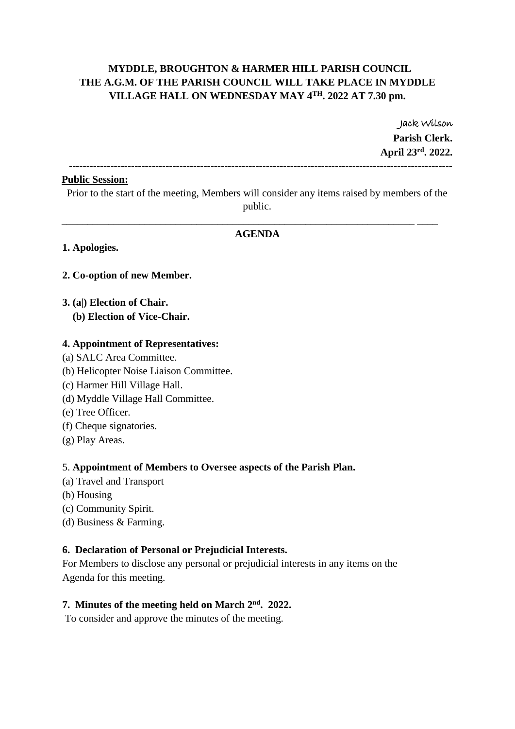# **MYDDLE, BROUGHTON & HARMER HILL PARISH COUNCIL THE A.G.M. OF THE PARISH COUNCIL WILL TAKE PLACE IN MYDDLE VILLAGE HALL ON WEDNESDAY MAY 4 TH. 2022 AT 7.30 pm.**

Jack Wilson **Parish Clerk. April 23rd . 2022.**

**---------------------------------------------------------------------------------------------------------------**

#### **Public Session:**

Prior to the start of the meeting, Members will consider any items raised by members of the public.

#### **AGENDA**

\_\_\_\_\_\_\_\_\_\_\_\_\_\_\_\_\_\_\_\_\_\_\_\_\_\_\_\_\_\_\_\_\_\_\_\_\_\_\_\_\_\_\_\_\_\_\_\_\_\_\_\_\_\_\_\_\_\_\_\_\_\_\_\_\_\_\_\_ \_\_\_\_

#### **1. Apologies.**

#### **2. Co-option of new Member.**

#### **3. (a|) Election of Chair. (b) Election of Vice-Chair.**

## **4. Appointment of Representatives:**

- (a) SALC Area Committee.
- (b) Helicopter Noise Liaison Committee.
- (c) Harmer Hill Village Hall.
- (d) Myddle Village Hall Committee.
- (e) Tree Officer.
- (f) Cheque signatories.
- (g) Play Areas.

#### 5. **Appointment of Members to Oversee aspects of the Parish Plan.**

- (a) Travel and Transport
- (b) Housing
- (c) Community Spirit.
- (d) Business & Farming.

# **6. Declaration of Personal or Prejudicial Interests.**

For Members to disclose any personal or prejudicial interests in any items on the Agenda for this meeting.

#### **7. Minutes of the meeting held on March 2nd . 2022.**

To consider and approve the minutes of the meeting.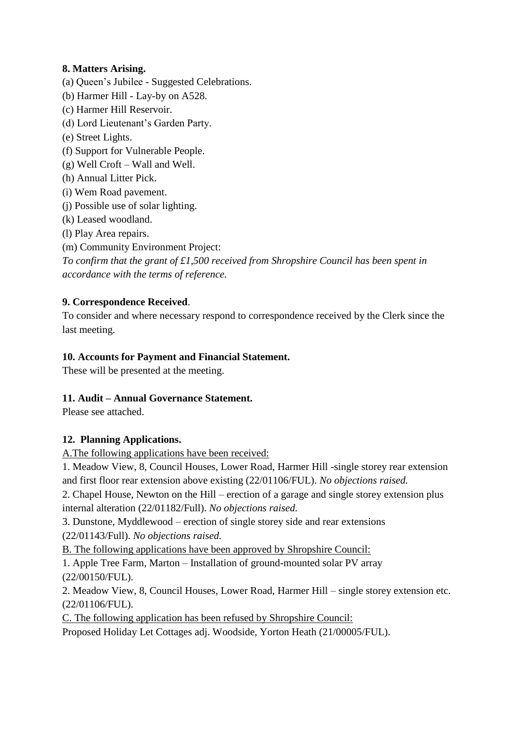# **8. Matters Arising.**

- (a) Queen's Jubilee Suggested Celebrations.
- (b) Harmer Hill Lay-by on A528.
- (c) Harmer Hill Reservoir.
- (d) Lord Lieutenant's Garden Party.
- (e) Street Lights.
- (f) Support for Vulnerable People.
- (g) Well Croft Wall and Well.
- (h) Annual Litter Pick.
- (i) Wem Road pavement.
- (j) Possible use of solar lighting.
- (k) Leased woodland.
- (l) Play Area repairs.
- (m) Community Environment Project:

*To confirm that the grant of £1,500 received from Shropshire Council has been spent in accordance with the terms of reference.*

# **9. Correspondence Received**.

To consider and where necessary respond to correspondence received by the Clerk since the last meeting.

# **10. Accounts for Payment and Financial Statement.**

These will be presented at the meeting.

## **11. Audit – Annual Governance Statement.**

Please see attached.

## **12. Planning Applications.**

A.The following applications have been received:

1. Meadow View, 8, Council Houses, Lower Road, Harmer Hill -single storey rear extension and first floor rear extension above existing (22/01106/FUL). *No objections raised.*

2. Chapel House, Newton on the Hill – erection of a garage and single storey extension plus internal alteration (22/01182/Full). *No objections raised.*

3. Dunstone, Myddlewood – erection of single storey side and rear extensions

(22/01143/Full). *No objections raised.*

B. The following applications have been approved by Shropshire Council:

1. Apple Tree Farm, Marton – Installation of ground-mounted solar PV array (22/00150/FUL).

2. Meadow View, 8, Council Houses, Lower Road, Harmer Hill – single storey extension etc. (22/01106/FUL).

C. The following application has been refused by Shropshire Council:

Proposed Holiday Let Cottages adj. Woodside, Yorton Heath (21/00005/FUL).